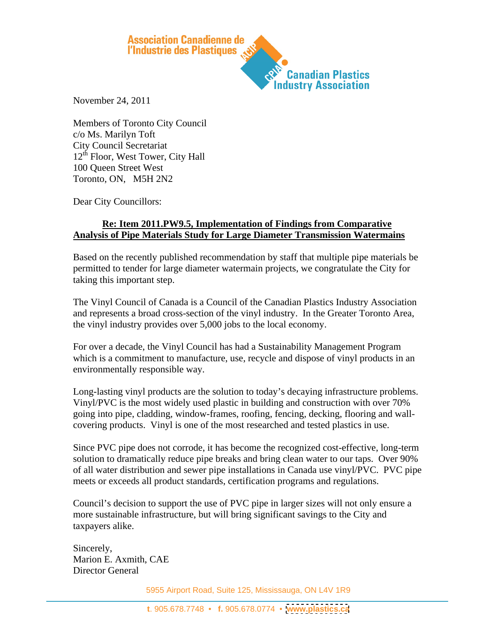

November 24, 2011

Members of Toronto City Council c/o Ms. Marilyn Toft City Council Secretariat  $12<sup>th</sup>$  Floor, West Tower, City Hall 100 Queen Street West Toronto, ON, M5H 2N2

Dear City Councillors:

## **Re: Item 2011.PW9.5, Implementation of Findings from Comparative Analysis of Pipe Materials Study for Large Diameter Transmission Watermains**

Based on the recently published recommendation by staff that multiple pipe materials be permitted to tender for large diameter watermain projects, we congratulate the City for taking this important step.

The Vinyl Council of Canada is a Council of the Canadian Plastics Industry Association and represents a broad cross-section of the vinyl industry. In the Greater Toronto Area, the vinyl industry provides over 5,000 jobs to the local economy.

For over a decade, the Vinyl Council has had a Sustainability Management Program which is a commitment to manufacture, use, recycle and dispose of vinyl products in an environmentally responsible way.

Long-lasting vinyl products are the solution to today's decaying infrastructure problems. Vinyl/PVC is the most widely used plastic in building and construction with over 70% going into pipe, cladding, window-frames, roofing, fencing, decking, flooring and wall covering products. Vinyl is one of the most researched and tested plastics in use.

Since PVC pipe does not corrode, it has become the recognized cost-effective, long-term solution to dramatically reduce pipe breaks and bring clean water to our taps. Over 90% of all water distribution and sewer pipe installations in Canada use vinyl/PVC. PVC pipe meets or exceeds all product standards, certification programs and regulations.

Council's decision to support the use of PVC pipe in larger sizes will not only ensure a more sustainable infrastructure, but will bring significant savings to the City and taxpayers alike.

Sincerely, Marion E. Axmith, CAE Director General

5955 Airport Road, Suite 125, Mississauga, ON L4V 1R9